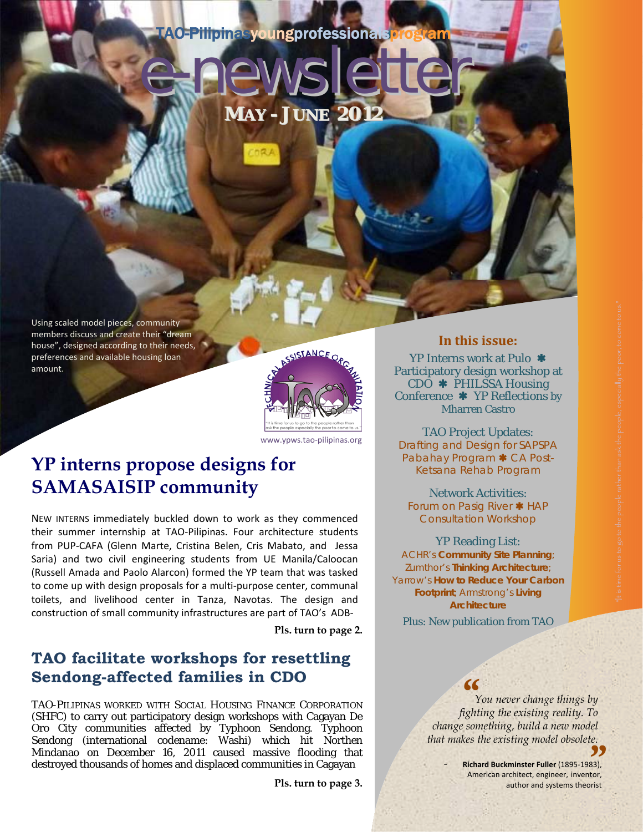### TAO-Pilipinasyoungprofessionalsprog

**MAY - JUNE 2012**

er<br>1e

Using scaled model pieces, community members discuss and create their "dream house", designed according to their needs, preferences and available housing loan amount.



www.ypws.tao‐pilipinas.org

## **SAMASAISIP community YP interns propose designs for**

NEW INTERNS immediately buckled down to work as they commenced their summer internship at TAO‐Pilipinas. Four architecture students from PUP‐CAFA (Glenn Marte, Cristina Belen, Cris Mabato, and Jessa Saria) and two civil engineering students from UE Manila/Caloocan (Russell Amada and Paolo Alarcon) formed the YP team that was tasked to come up with design proposals for a multi‐purpose center, communal toilets, and livelihood center in Tanza, Navotas. The design and construction of small community infrastructures are part of TAO's ADB‐

**Pls. turn to page 2.** 

### **TAO facilitate workshops for resettling Sendong-affected families in CDO**

TAO-PILIPINAS WORKED WITH SOCIAL HOUSING FINANCE CORPORATION (SHFC) to carry out participatory design workshops with Cagayan De Oro City communities affected by Typhoon Sendong. Typhoon Sendong (international codename: Washi) which hit Northen Mindanao on December 16, 2011 caused massive flooding that destroyed thousands of homes and displaced communities in Cagayan

**Pls. turn to page 3.** 

#### **In this issue:**

YP Interns work at Pulo \* Participatory design workshop at  $CDO$  **\*** PHILSSA Housing Conference **\*** YP Reflections by Mharren Castro

TAO Project Updates: Drafting and Design for SAPSPA Pabahay Program \* CA Post-Ketsana Rehab Program

Network Activities: Forum on Pasig River \* HAP Consultation Workshop

#### YP Reading List:

ACHR's *Community Site Planning;* Zumthor's *Thinking Architecture;* Yarrow's *How to Reduce Your Carbon Footprint;* Armstrong's *Living Architecture*

Plus: New publication from TAO

 *You never change things by f*<br>*fighting the existing reality. To fighting the existing reality. To change something, build a new model that makes the existing model obsolete.* 

**Richard Buckminster Fuller (1895-1983),** author and systems theorist Frace Extrarty model bosolete.<br> **Chard Buckminster Fuller** (1895-1983),<br>
American architect, engineer, inventor,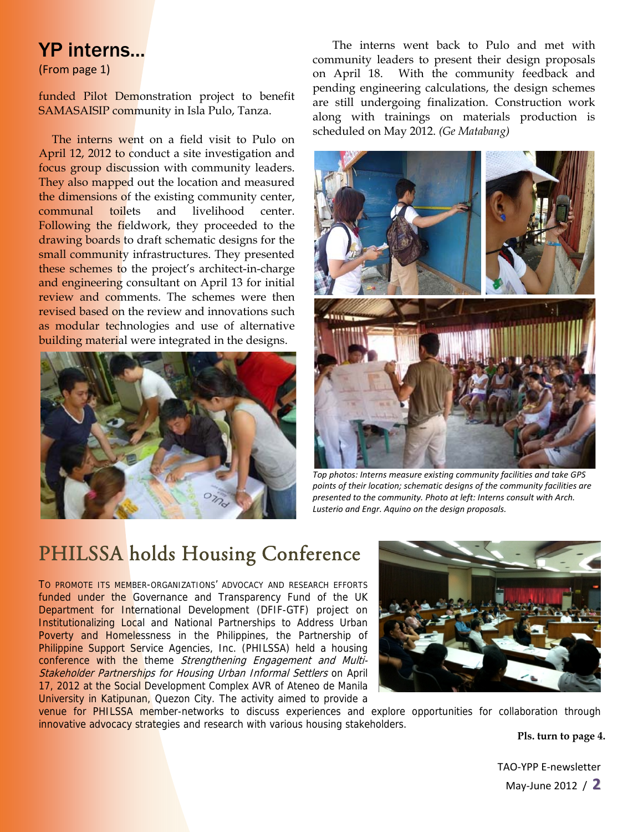### YP interns...

(From page 1)

funded Pilot Demonstration project to benefit SAMASAISIP community in Isla Pulo, Tanza.

The interns went on a field visit to Pulo on April 12, 2012 to conduct a site investigation and focus group discussion with community leaders. They also mapped out the location and measured the dimensions of the existing community center, communal toilets and livelihood center. Following the fieldwork, they proceeded to the drawing boards to draft schematic designs for the small community infrastructures. They presented these schemes to the project's architect-in-charge and engineering consultant on April 13 for initial review and comments. The schemes were then revised based on the review and innovations such as modular technologies and use of alternative **building material were integrated in the designs.** 



The interns went back to Pulo and met with community leaders to present their design proposals on April 18. With the community feedback and pending engineering calculations, the design schemes are still undergoing finalization. Construction work along with trainings on materials production is scheduled on May 2012. *(Ge Matabang)* 



*Top photos: Interns measure existing community facilities and take GPS points of their location; schematic designs of the community facilities are presented to the community. Photo at left: Interns consult with Arch. Lusterio and Engr. Aquino on the design proposals.* 

# PHILSSA holds Housing Conference

TO PROMOTE ITS MEMBER-ORGANIZATIONS' ADVOCACY AND RESEARCH EFFORTS funded under the Governance and Transparency Fund of the UK Department for International Development (DFIF-GTF) project on Institutionalizing Local and National Partnerships to Address Urban Poverty and Homelessness in the Philippines, the Partnership of Philippine Support Service Agencies, Inc. (PHILSSA) held a housing conference with the theme Strengthening Engagement and Multi-Stakeholder Partnerships for Housing Urban Informal Settlers on April 17, 2012 at the Social Development Complex AVR of Ateneo de Manila University in Katipunan, Quezon City. The activity aimed to provide a



venue for PHILSSA member-networks to discuss experiences and explore opportunities for collaboration through innovative advocacy strategies and research with various housing stakeholders.

**Pls. turn to page 4.**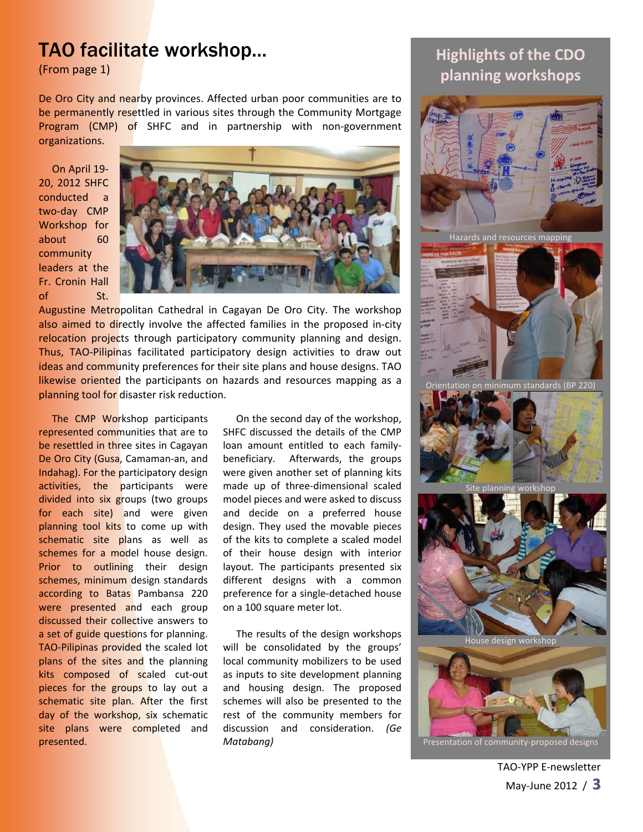### TAO facilitate workshop...

(From page 1)

De Oro City and nearby provinces. Affected urban poor communities are to be permanently resettled in various sites through the Community Mortgage Program (CMP) of SHFC and in partnership with non-government organizations.

On April 19‐ 20, 2012 SHFC conducted a two‐day CMP Workshop for about 60 community leaders at the Fr. Cronin Hall of St.



Augustine Metropolitan Cathedral in Cagayan De Oro City. The workshop also aimed to directly involve the affected families in the proposed in-city relocation projects through participatory community planning and design. Thus, TAO-Pilipinas facilitated participatory design activities to draw out ideas and community preferences for their site plans and house designs. TAO likewise oriented the participants on hazards and resources mapping as a planning tool for disaster risk reduction.

The CMP Workshop participants represented communities that are to be resettled in three sites in Cagayan De Oro City (Gusa, Camaman-an, and Indahag). For the participatory design activities, the participants were divided into six groups (two groups for each site) and were given planning tool kits to come up with schematic site plans as well as schemes for a model house design. Prior to outlining their design schemes, minimum design standards according to Batas Pambansa 220 were presented and each group discussed their collective answers to a set of guide questions for planning. TAO‐Pilipinas provided the scaled lot plans of the sites and the planning kits composed of scaled cut-out pieces for the groups to lay out a schematic site plan. After the first day of the workshop, six schematic site plans were completed and presented.

On the second day of the workshop, SHFC discussed the details of the CMP loan amount entitled to each family‐ beneficiary. Afterwards, the groups were given another set of planning kits made up of three‐dimensional scaled model pieces and were asked to discuss and decide on a preferred house design. They used the movable pieces of the kits to complete a scaled model of their house design with interior layout. The participants presented six different designs with a common preference for a single‐detached house on a 100 square meter lot.

The results of the design workshops will be consolidated by the groups' local community mobilizers to be used as inputs to site development planning and housing design. The proposed schemes will also be presented to the rest of the community members for discussion and consideration. *(Ge Matabang)*

### **Highlights of the CDO planning workshops**

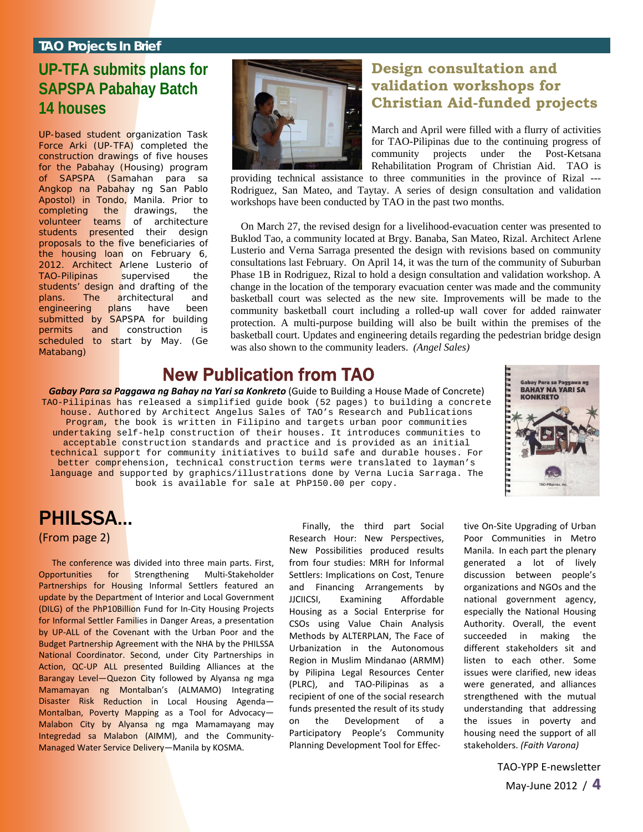#### **TAO Projects In Brief**

### **UP-TFA submits plans for SAPSPA Pabahay Batch 14 houses**

UP-based student organization Task Force Arki (UP-TFA) completed the construction drawings of five houses for the Pabahay (Housing) program of SAPSPA (Samahan para sa Angkop na Pabahay ng San Pablo Apostol) in Tondo, Manila. Prior to completing the drawings, the volunteer teams of architecture students presented their design proposals to the five beneficiaries of the housing loan on February 6, 2012. Architect Arlene Lusterio of TAO-Pilipinas supervised the students' design and drafting of the plans. The architectural and engineering plans have been submitted by SAPSPA for building permits and construction is scheduled to start by May. *(Ge Matabang)*



#### **Design consultation and validation workshops for Christian Aid-funded projects**

March and April were filled with a flurry of activities for TAO-Pilipinas due to the continuing progress of community projects under the Post-Ketsana Rehabilitation Program of Christian Aid. TAO is

providing technical assistance to three communities in the province of Rizal --- Rodriguez, San Mateo, and Taytay. A series of design consultation and validation workshops have been conducted by TAO in the past two months.

On March 27, the revised design for a livelihood-evacuation center was presented to Buklod Tao, a community located at Brgy. Banaba, San Mateo, Rizal. Architect Arlene Lusterio and Verna Sarraga presented the design with revisions based on community consultations last February. On April 14, it was the turn of the community of Suburban Phase 1B in Rodriguez, Rizal to hold a design consultation and validation workshop. A change in the location of the temporary evacuation center was made and the community basketball court was selected as the new site. Improvements will be made to the community basketball court including a rolled-up wall cover for added rainwater protection. A multi-purpose building will also be built within the premises of the basketball court. Updates and engineering details regarding the pedestrian bridge design was also shown to the community leaders. *(Angel Sales)*

### New Publication from TAO

*Gabay Para sa Paggawa ng Bahay na Yari sa Konkreto* (Guide to Building a House Made of Concrete) TAO-Pilipinas has released a simplified guide book (52 pages) to building a concrete house. Authored by Architect Angelus Sales of TAO's Research and Publications Program, the book is written in Filipino and targets urban poor communities undertaking self-help construction of their houses. It introduces communities to acceptable construction standards and practice and is provided as an initial technical support for community initiatives to build safe and durable houses. For better comprehension, technical construction terms were translated to layman's language and supported by graphics/illustrations done by Verna Lucia Sarraga. The book is available for sale at PhP150.00 per copy.



### PHILSSA... (From page 2)

The conference was divided into three main parts. First, Opportunities for Strengthening Multi‐Stakeholder Partnerships for Housing Informal Settlers featured an update by the Department of Interior and Local Government (DILG) of the PhP10Billion Fund for In‐City Housing Projects for Informal Settler Families in Danger Areas, a presentation by UP-ALL of the Covenant with the Urban Poor and the Budget Partnership Agreement with the NHA by the PHILSSA National Coordinator. Second, under City Partnerships in Action, QC-UP ALL presented Building Alliances at the Barangay Level—Quezon City followed by Alyansa ng mga Mamamayan ng Montalban's (ALMAMO) Integrating Disaster Risk Reduction in Local Housing Agenda— Montalban, Poverty Mapping as a Tool for Advocacy— Malabon City by Alyansa ng mga Mamamayang may Integredad sa Malabon (AIMM), and the Community‐ Managed Water Service Delivery—Manila by KOSMA.

Finally, the third part Social Research Hour: New Perspectives, New Possibilities produced results from four studies: MRH for Informal Settlers: Implications on Cost, Tenure and Financing Arrangements by JJCIICSI, Examining Affordable Housing as a Social Enterprise for CSOs using Value Chain Analysis Methods by ALTERPLAN, The Face of Urbanization in the Autonomous Region in Muslim Mindanao (ARMM) by Pilipina Legal Resources Center (PLRC), and TAO‐Pilipinas as a recipient of one of the social research funds presented the result of its study on the Development of Participatory People's Community Planning Development Tool for Effec‐

tive On‐Site Upgrading of Urban Poor Communities in Metro Manila. In each part the plenary generated a lot of lively discussion between people's organizations and NGOs and the national government agency, especially the National Housing Authority. Overall, the event succeeded in making the different stakeholders sit and listen to each other. Some issues were clarified, new ideas were generated, and alliances strengthened with the mutual understanding that addressing the issues in poverty and housing need the support of all stakeholders. *(Faith Varona)*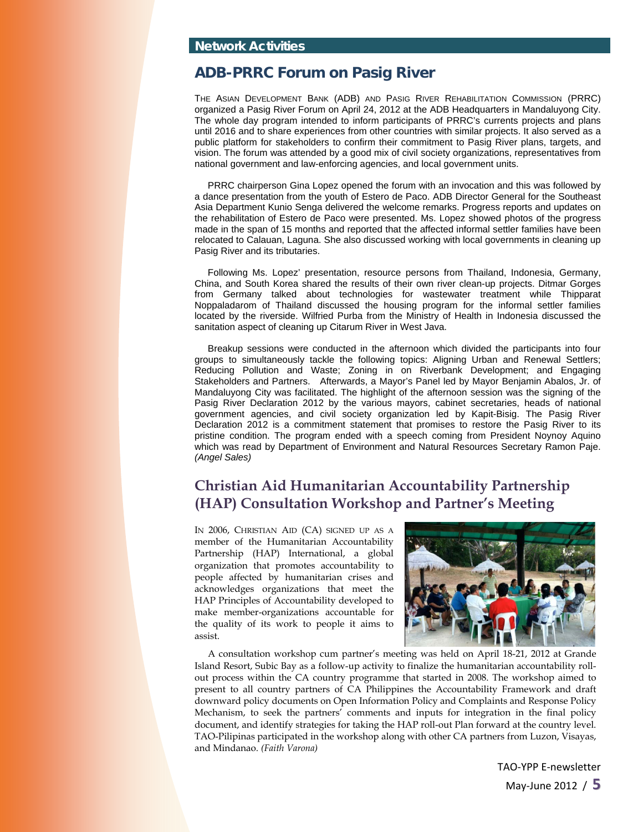#### **ADB-PRRC Forum on Pasig River**

THE ASIAN DEVELOPMENT BANK (ADB) AND PASIG RIVER REHABILITATION COMMISSION (PRRC) organized a Pasig River Forum on April 24, 2012 at the ADB Headquarters in Mandaluyong City. The whole day program intended to inform participants of PRRC's currents projects and plans until 2016 and to share experiences from other countries with similar projects. It also served as a public platform for stakeholders to confirm their commitment to Pasig River plans, targets, and vision. The forum was attended by a good mix of civil society organizations, representatives from national government and law-enforcing agencies, and local government units.

PRRC chairperson Gina Lopez opened the forum with an invocation and this was followed by a dance presentation from the youth of Estero de Paco. ADB Director General for the Southeast Asia Department Kunio Senga delivered the welcome remarks. Progress reports and updates on the rehabilitation of Estero de Paco were presented. Ms. Lopez showed photos of the progress made in the span of 15 months and reported that the affected informal settler families have been relocated to Calauan, Laguna. She also discussed working with local governments in cleaning up Pasig River and its tributaries.

Following Ms. Lopez' presentation, resource persons from Thailand, Indonesia, Germany, China, and South Korea shared the results of their own river clean-up projects. Ditmar Gorges from Germany talked about technologies for wastewater treatment while Thipparat Noppaladarom of Thailand discussed the housing program for the informal settler families located by the riverside. Wilfried Purba from the Ministry of Health in Indonesia discussed the sanitation aspect of cleaning up Citarum River in West Java.

Breakup sessions were conducted in the afternoon which divided the participants into four groups to simultaneously tackle the following topics: Aligning Urban and Renewal Settlers; Reducing Pollution and Waste; Zoning in on Riverbank Development; and Engaging Stakeholders and Partners. Afterwards, a Mayor's Panel led by Mayor Benjamin Abalos, Jr. of Mandaluyong City was facilitated. The highlight of the afternoon session was the signing of the Pasig River Declaration 2012 by the various mayors, cabinet secretaries, heads of national government agencies, and civil society organization led by Kapit-Bisig. The Pasig River Declaration 2012 is a commitment statement that promises to restore the Pasig River to its pristine condition. The program ended with a speech coming from President Noynoy Aquino which was read by Department of Environment and Natural Resources Secretary Ramon Paje. *(Angel Sales)*

#### **Christian Aid Humanitarian Accountability Partnership (HAP) Consultation Workshop and Partner's Meeting**

IN 2006, CHRISTIAN AID (CA) SIGNED UP AS A member of the Humanitarian Accountability Partnership (HAP) International, a global organization that promotes accountability to people affected by humanitarian crises and acknowledges organizations that meet the HAP Principles of Accountability developed to make member-organizations accountable for the quality of its work to people it aims to assist.



A consultation workshop cum partner's meeting was held on April 18-21, 2012 at Grande Island Resort, Subic Bay as a follow-up activity to finalize the humanitarian accountability rollout process within the CA country programme that started in 2008. The workshop aimed to present to all country partners of CA Philippines the Accountability Framework and draft downward policy documents on Open Information Policy and Complaints and Response Policy Mechanism, to seek the partners' comments and inputs for integration in the final policy document, and identify strategies for taking the HAP roll-out Plan forward at the country level. TAO-Pilipinas participated in the workshop along with other CA partners from Luzon, Visayas, and Mindanao. *(Faith Varona)*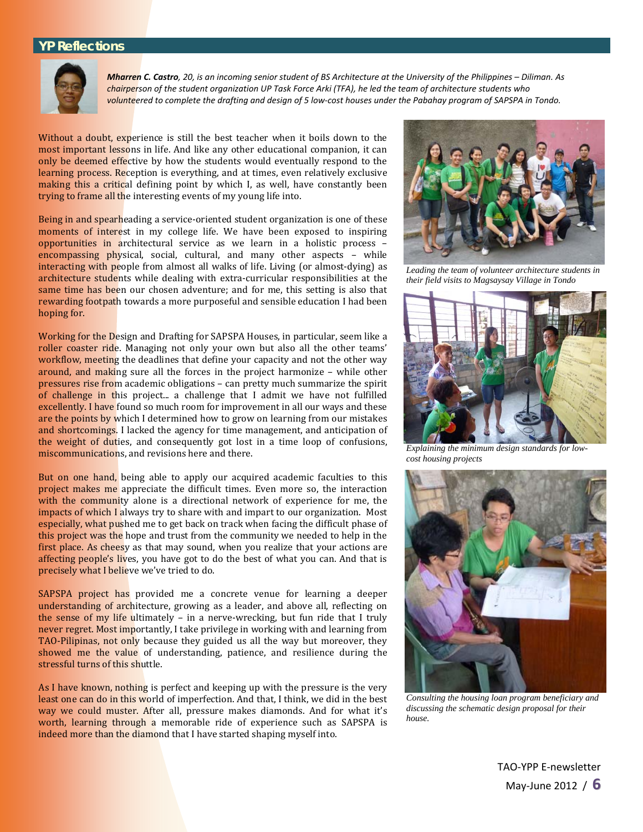#### **YP Reflections**



Mharren C. Castro, 20, is an incoming senior student of BS Architecture at the University of the Philippines - Diliman. As chairperson of the student organization UP Task Force Arki (TFA), he led the team of architecture students who volunteered to complete the drafting and design of 5 low-cost houses under the Pabahay program of SAPSPA in Tondo.

Without a doubt, experience is still the best teacher when it boils down to the most important lessons in life. And like any other educational companion, it can only be deemed effective by how the students would eventually respond to the learning process. Reception is everything, and at times, even relatively exclusive making this a critical defining point by which I, as well, have constantly been trying to frame all the interesting events of my young life into.

Being in and spearheading a service-oriented student organization is one of these moments of interest in my college life. We have been exposed to inspiring opportunities in architectural service as we learn in a holistic process – encompassing physical, social, cultural, and many other aspects – while interacting with people from almost all walks of life. Living (or almost-dying) as architecture students while dealing with extra-curricular responsibilities at the same time has been our chosen adventure; and for me, this setting is also that rewarding footpath towards a more purposeful and sensible education I had been hoping for.

Working for the Design and Drafting for SAPSPA Houses, in particular, seem like a roller coaster ride. Managing not only your own but also all the other teams' workflow, meeting the deadlines that define your capacity and not the other way around, and making sure all the forces in the project harmonize – while other pressures rise from academic obligations – can pretty much summarize the spirit of challenge in this project... a challenge that I admit we have not fulfilled excellently. I have found so much room for improvement in all our ways and these are the points by which I determined how to grow on learning from our mistakes and shortcomings. I lacked the agency for time management, and anticipation of the weight of duties, and consequently got lost in a time loop of confusions, miscommunications, and revisions here and there.

But on one hand, being able to apply our acquired academic faculties to this project makes me appreciate the difficult times. Even more so, the interaction with the community alone is a directional network of experience for me, the impacts of which I always try to share with and impart to our organization. Most especially, what pushed me to get back on track when facing the difficult phase of this project was the hope and trust from the community we needed to help in the first place. As cheesy as that may sound, when you realize that your actions are affecting people's lives, you have got to do the best of what you can. And that is precisely what I believe we've tried to do.

SAPSPA project has provided me a concrete venue for learning a deeper understanding of architecture, growing as a leader, and above all, reflecting on the sense of my life ultimately - in a nerve-wrecking, but fun ride that I truly never regret. Most importantly, I take privilege in working with and learning from TAO-Pilipinas, not only because they guided us all the way but moreover, they showed me the value of understanding, patience, and resilience during the stressful turns of this shuttle.

As I have known, nothing is perfect and keeping up with the pressure is the very least one can do in this world of imperfection. And that, I think, we did in the best way we could muster. After all, pressure makes diamonds. And for what it's worth, learning through a memorable ride of experience such as SAPSPA is indeed more than the diamond that I have started shaping myself into.



*Leading the team of volunteer architecture students in their field visits to Magsaysay Village in Tondo* 



*Explaining the minimum design standards for lowcost housing projects* 



*Consulting the housing loan program beneficiary and discussing the schematic design proposal for their house.*